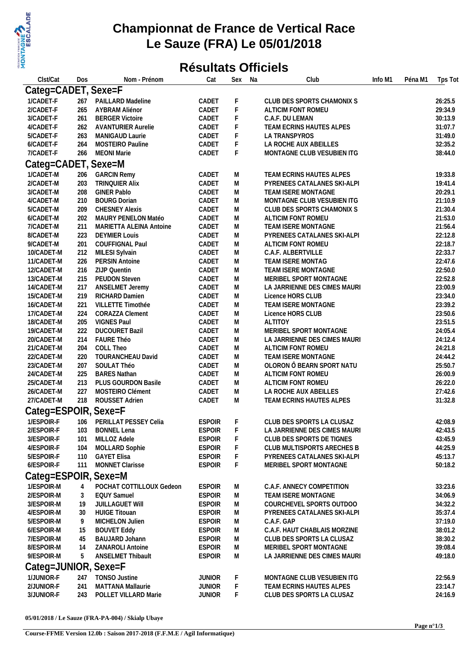

## **Championnat de France de Vertical Race Le Sauze (FRA) Le 05/01/2018**

## **Résultats Officiels**

| Clst/Cat                 | Dos        | Nom - Prénom                            | Cat                            | Sex    | Na | Club                                                  | Info M1 | Péna M1 | Tps Tot            |  |  |
|--------------------------|------------|-----------------------------------------|--------------------------------|--------|----|-------------------------------------------------------|---------|---------|--------------------|--|--|
| Categ=CADET, Sexe=F      |            |                                         |                                |        |    |                                                       |         |         |                    |  |  |
| 1/CADET-F                | 267        | PAILLARD Madeline                       | CADET                          | F      |    | CLUB DES SPORTS CHAMONIX S                            |         |         | 26:25.5            |  |  |
| 2/CADET-F                | 265        | AYBRAM Aliénor                          | CADET                          | F      |    | ALTICIM FONT ROMEU                                    |         |         | 29:34.9            |  |  |
| 3/CADET-F                | 261        | <b>BERGER Victoire</b>                  | CADET                          | F      |    | C.A.F. DU LEMAN                                       |         |         | 30:13.9            |  |  |
| 4/CADET-F                | 262        | <b>AVANTURIER Aurelie</b>               | CADET                          | F      |    | TEAM ECRINS HAUTES ALPES                              |         |         | 31:07.7            |  |  |
| 5/CADET-F                | 263        | MANIGAUD Laurie                         | CADET                          | F      |    | LA TRANSPYROS                                         |         |         | 31:49.0            |  |  |
| 6/CADET-F                | 264        | MOSTEIRO Pauline                        | CADET                          | F      |    | LA ROCHE AUX ABEILLES                                 |         |         | 32:35.2            |  |  |
| 7/CADET-F                | 266        | <b>MEONI Marie</b>                      | CADET                          | F      |    | MONTAGNE CLUB VESUBIEN ITG                            |         |         | 38:44.0            |  |  |
| Categ=CADET, Sexe=M      |            |                                         |                                |        |    |                                                       |         |         |                    |  |  |
| 1/CADET-M                | 206        | <b>GARCIN Remy</b>                      | CADET                          | M      |    | TEAM ECRINS HAUTES ALPES                              |         |         | 19:33.8            |  |  |
| 2/CADET-M                | 203        | <b>TRINQUIER Alix</b>                   | CADET                          | M      |    | PYRENEES CATALANES SKI-ALPI                           |         |         | 19:41.4            |  |  |
| 3/CADET-M                | 208        | <b>GINER Pablo</b>                      | CADET                          | M      |    | TEAM ISERE MONTAGNE                                   |         |         | 20:29.1            |  |  |
| 4/CADET-M                | 210        | <b>BOURG Dorian</b>                     | CADET                          | M      |    | MONTAGNE CLUB VESUBIEN ITG                            |         |         | 21:10.9            |  |  |
| 5/CADET-M                | 209        | <b>CHESNEY Alexis</b>                   | CADET                          | М      |    | CLUB DES SPORTS CHAMONIX S                            |         |         | 21:30.4            |  |  |
| 6/CADET-M                | 202        | MAURY PENELON Matéo                     | CADET                          | М      |    | ALTICIM FONT ROMEU                                    |         |         | 21:53.0            |  |  |
| 7/CADET-M                | 211        | MARIETTA ALEINA Antoine                 | CADET                          | M      |    | TEAM ISERE MONTAGNE                                   |         |         | 21:56.4            |  |  |
| 8/CADET-M                | 223        | <b>DEYMIER Louis</b>                    | CADET                          | M      |    | PYRENEES CATALANES SKI-ALPI                           |         |         | 22:12.8            |  |  |
| 9/CADET-M                | 201        | COUFFIGNAL Paul                         | CADET                          | M      |    | ALTICIM FONT ROMEU                                    |         |         | 22:18.7            |  |  |
| 10/CADET-M               | 212        | MILESI Sylvain                          | CADET                          | M      |    | C.A.F. ALBERTVILLE                                    |         |         | 22:33.7            |  |  |
| 11/CADET-M               | 226        | PERSIN Antoine                          | CADET                          | M      |    | TEAM ISERE MONTAG                                     |         |         | 22:47.6            |  |  |
| 12/CADET-M               | 216        | ZIJP Quentin                            | CADET                          | M      |    | TEAM ISERE MONTAGNE                                   |         |         | 22:50.0            |  |  |
| 13/CADET-M               | 215        | <b>PEUDON Steven</b>                    | CADET                          | M      |    | MERIBEL SPORT MONTAGNE                                |         |         | 22:52.8            |  |  |
| 14/CADET-M               | 217        | ANSELMET Jeremy                         | CADET                          | M      |    | LA JARRIENNE DES CIMES MAURI                          |         |         | 23:00.9            |  |  |
| 15/CADET-M               | 219        | RICHARD Damien                          | CADET                          | M      |    | Licence HORS CLUB                                     |         |         | 23:34.0            |  |  |
| 16/CADET-M               | 221        | VILLETTE Timothée                       | CADET                          | M      |    | TEAM ISERE MONTAGNE                                   |         |         | 23:39.2            |  |  |
| 17/CADET-M               | 224        | <b>CORAZZA Clement</b>                  | CADET                          | M      |    | Licence HORS CLUB                                     |         |         | 23:50.6            |  |  |
| 18/CADET-M               | 205        | <b>VIGNES Paul</b>                      | CADET                          | М      |    | <b>ALTITOY</b>                                        |         |         | 23:51.5            |  |  |
| 19/CADET-M               | 222        | <b>DUCOURET Bazil</b>                   | CADET                          | M      |    | MERIBEL SPORT MONTAGNE                                |         |         | 24:05.4            |  |  |
| 20/CADET-M               | 214        | FAURE Théo                              | CADET                          | M      |    | LA JARRIENNE DES CIMES MAURI                          |         |         | 24:12.4            |  |  |
| 21/CADET-M               | 204        | COLL Theo                               | CADET                          | М      |    | ALTICIM FONT ROMEU                                    |         |         | 24:21.8            |  |  |
| 22/CADET-M<br>23/CADET-M | 220<br>207 | <b>TOURANCHEAU David</b><br>SOULAT Théo | CADET<br>CADET                 | M<br>М |    | TEAM ISERE MONTAGNE<br>OLORON Ô BEARN SPORT NATU      |         |         | 24:44.2<br>25:50.7 |  |  |
| 24/CADET-M               | 225        | <b>BARES Nathan</b>                     | CADET                          | М      |    | ALTICIM FONT ROMEU                                    |         |         | 26:00.9            |  |  |
| 25/CADET-M               | 213        | PLUS GOURDON Basile                     | CADET                          | М      |    | ALTICIM FONT ROMEU                                    |         |         | 26:22.0            |  |  |
| 26/CADET-M               | 227        | MOSTEIRO Clément                        | CADET                          | М      |    | LA ROCHE AUX ABEILLES                                 |         |         | 27:42.6            |  |  |
| 27/CADET-M               | 218        | ROUSSET Adrien                          | CADET                          | М      |    | TEAM ECRINS HAUTES ALPES                              |         |         | 31:32.8            |  |  |
|                          |            |                                         |                                |        |    |                                                       |         |         |                    |  |  |
| Categ=ESPOIR, Sexe=F     |            |                                         |                                |        |    |                                                       |         |         |                    |  |  |
| 1/ESPOIR-F               | 106        | PERILLAT PESSEY Celia                   | <b>ESPOIR</b>                  | F      |    | CLUB DES SPORTS LA CLUSAZ                             |         |         | 42:08.9            |  |  |
| 2/ESPOIR-F               | 103        | <b>BONNEL Lena</b>                      | <b>ESPOIR</b>                  | F      |    | LA JARRIENNE DES CIMES MAURI                          |         |         | 42:43.5            |  |  |
| 3/ESPOIR-F               | 101        | MILLOZ Adele                            | <b>ESPOIR</b>                  | F      |    | CLUB DES SPORTS DE TIGNES                             |         |         | 43:45.9            |  |  |
| 4/ESPOIR-F<br>5/ESPOIR-F | 104        | MOLLARD Sophie<br><b>GAYET Elisa</b>    | <b>ESPOIR</b><br><b>ESPOIR</b> | F      |    | CLUB MULTISPORTS ARECHES B                            |         |         | 44:25.9<br>45:13.7 |  |  |
| 6/ESPOIR-F               | 110<br>111 | MONNET Clarisse                         | <b>ESPOIR</b>                  | F<br>F |    | PYRENEES CATALANES SKI-ALPI<br>MERIBEL SPORT MONTAGNE |         |         | 50:18.2            |  |  |
|                          |            |                                         |                                |        |    |                                                       |         |         |                    |  |  |
| Categ=ESPOIR, Sexe=M     |            |                                         |                                |        |    |                                                       |         |         |                    |  |  |
| 1/ESPOIR-M               | 4          | POCHAT COTTILLOUX Gedeon                | <b>ESPOIR</b>                  | M      |    | C.A.F. ANNECY COMPETITION                             |         |         | 33:23.6            |  |  |
| 2/ESPOIR-M               | 3          | <b>EQUY Samuel</b>                      | <b>ESPOIR</b>                  | M      |    | TEAM ISERE MONTAGNE                                   |         |         | 34:06.9            |  |  |
| 3/ESPOIR-M               | 19         | <b>JUILLAGUET WIII</b>                  | <b>ESPOIR</b>                  | M      |    | COURCHEVEL SPORTS OUTDOO                              |         |         | 34:32.2            |  |  |
| 4/ESPOIR-M               | 30         | <b>HUIGE Titouan</b>                    | <b>ESPOIR</b>                  | M      |    | PYRENEES CATALANES SKI-ALPI                           |         |         | 35:37.4            |  |  |
| 5/ESPOIR-M               | 9          | MICHELON Julien                         | <b>ESPOIR</b>                  | M      |    | C.A.F. GAP                                            |         |         | 37:19.0            |  |  |
| 6/ESPOIR-M               | 15         | <b>BOUVET Eddy</b>                      | <b>ESPOIR</b>                  | M      |    | C.A.F. HAUT CHABLAIS MORZINE                          |         |         | 38:01.2            |  |  |
| 7/ESPOIR-M               | 45         | BAUJARD Johann                          | <b>ESPOIR</b>                  | M      |    | CLUB DES SPORTS LA CLUSAZ                             |         |         | 38:30.2            |  |  |
| 8/ESPOIR-M               | 14         | ZANAROLI Antoine                        | <b>ESPOIR</b>                  | M      |    | MERIBEL SPORT MONTAGNE                                |         |         | 39:08.4            |  |  |
| 9/ESPOIR-M               | 5          | ANSELMET Thibault                       | <b>ESPOIR</b>                  | М      |    | LA JARRIENNE DES CIMES MAURI                          |         |         | 49:18.0            |  |  |
| Categ=JUNIOR, Sexe=F     |            |                                         |                                |        |    |                                                       |         |         |                    |  |  |
| 1/JUNIOR-F               | 247        | <b>TONSO Justine</b>                    | <b>JUNIOR</b>                  | F      |    | MONTAGNE CLUB VESUBIEN ITG                            |         |         | 22:56.9            |  |  |
| 2/JUNIOR-F               | 241        | MATTANA Mallaurie                       | <b>JUNIOR</b>                  | F      |    | TEAM ECRINS HAUTES ALPES                              |         |         | 23:14.7            |  |  |
| 3/JUNIOR-F               | 243        | POLLET VILLARD Marie                    | <b>JUNIOR</b>                  | F      |    | CLUB DES SPORTS LA CLUSAZ                             |         |         | 24:16.9            |  |  |
|                          |            |                                         |                                |        |    |                                                       |         |         |                    |  |  |

**05/01/2018 / Le Sauze (FRA-PA-004) / Skialp Ubaye**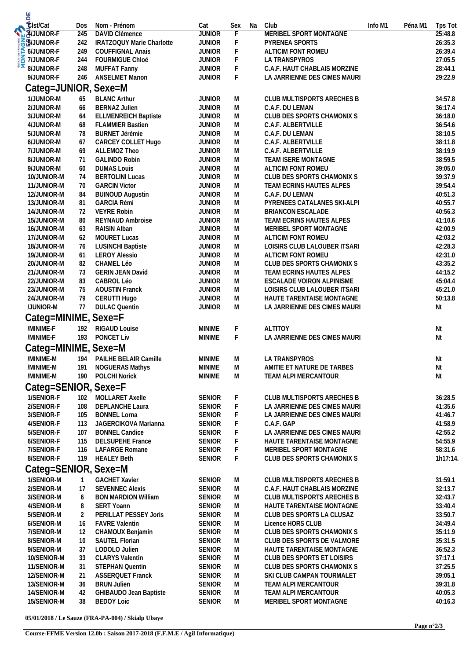| u<br>Elst/Cat                  |                    |                                                      |                                |                            |    |                                                              |         |         |                    |
|--------------------------------|--------------------|------------------------------------------------------|--------------------------------|----------------------------|----|--------------------------------------------------------------|---------|---------|--------------------|
|                                | Dos                | Nom - Prénom                                         | Cat                            | Sex                        | Na | Club                                                         | Info M1 | Péna M1 | Tps Tot            |
| <b>WAJUNIOR-F</b>              | 245                | <b>DAVID Clémence</b>                                | <b>JUNIOR</b>                  | F                          |    | MERIBEL SPORT MONTAGNE                                       |         |         | 25:48.8            |
| <b>SB</b> UUNIOR-F             | 242                | IRATZOQUY Marie Charlotte                            | <b>JUNIOR</b>                  | F                          |    | PYRENEA SPORTS                                               |         |         | 26:35.3            |
| <b>EXACTES</b><br>S TIJUNIOR-F | 249                | <b>COUFFIGNAL Anais</b>                              | <b>JUNIOR</b>                  | F                          |    | ALTICIM FONT ROMEU                                           |         |         | 26:39.4            |
| 8/JUNIOR-F                     | 244<br>248         | FOURMIGUE Chloé                                      | <b>JUNIOR</b><br><b>JUNIOR</b> | $\mathsf F$<br>$\mathsf F$ |    | LA TRANSPYROS<br>C.A.F. HAUT CHABLAIS MORZINE                |         |         | 27:05.5<br>28:44.1 |
| 9/JUNIOR-F                     | 246                | MUFFAT Fanny<br>ANSELMET Manon                       | <b>JUNIOR</b>                  | F                          |    | LA JARRIENNE DES CIMES MAURI                                 |         |         | 29:22.9            |
|                                |                    |                                                      |                                |                            |    |                                                              |         |         |                    |
| Categ=JUNIOR, Sexe=M           |                    |                                                      |                                |                            |    |                                                              |         |         |                    |
| 1/JUNIOR-M                     | 65                 | <b>BLANC Arthur</b>                                  | <b>JUNIOR</b>                  | M                          |    | CLUB MULTISPORTS ARECHES B                                   |         |         | 34:57.8            |
| 2/JUNIOR-M                     | 66                 | <b>BERNAZ Julien</b>                                 | <b>JUNIOR</b>                  | M                          |    | C.A.F. DU LEMAN                                              |         |         | 36:17.4            |
| 3/JUNIOR-M                     | 64                 | <b>ELLMENREICH Baptiste</b>                          | <b>JUNIOR</b>                  | M                          |    | CLUB DES SPORTS CHAMONIX S                                   |         |         | 36:18.0            |
| 4/JUNIOR-M                     | 68                 | <b>FLAMMIER Bastien</b>                              | <b>JUNIOR</b>                  | М                          |    | C.A.F. ALBERTVILLE                                           |         |         | 36:54.6            |
| 5/JUNIOR-M                     | 78                 | <b>BURNET Jérémie</b>                                | <b>JUNIOR</b>                  | M                          |    | C.A.F. DU LEMAN                                              |         |         | 38:10.5            |
| 6/JUNIOR-M                     | 67                 | CARCEY COLLET Hugo                                   | <b>JUNIOR</b><br><b>JUNIOR</b> | ${\sf M}$                  |    | C.A.F. ALBERTVILLE                                           |         |         | 38:11.8            |
| 7/JUNIOR-M                     | 69<br>71           | ALLEMOZ Theo<br><b>GALINDO Robin</b>                 | <b>JUNIOR</b>                  | M<br>M                     |    | C.A.F. ALBERTVILLE                                           |         |         | 38:19.9<br>38:59.5 |
| 8/JUNIOR-M<br>9/JUNIOR-M       | 60                 | <b>DUMAS Louis</b>                                   | <b>JUNIOR</b>                  | M                          |    | TEAM ISERE MONTAGNE<br>ALTICIM FONT ROMEU                    |         |         | 39:05.0            |
| 10/JUNIOR-M                    | 74                 | <b>BERTOLINI Lucas</b>                               | <b>JUNIOR</b>                  | M                          |    | CLUB DES SPORTS CHAMONIX S                                   |         |         | 39:37.9            |
| 11/JUNIOR-M                    | 70                 | <b>GARCIN Victor</b>                                 | <b>JUNIOR</b>                  | M                          |    | TEAM ECRINS HAUTES ALPES                                     |         |         | 39:54.4            |
| 12/JUNIOR-M                    | 84                 | <b>BUINOUD Augustin</b>                              | <b>JUNIOR</b>                  | M                          |    | C.A.F. DU LEMAN                                              |         |         | 40:51.3            |
| 13/JUNIOR-M                    | 81                 | <b>GARCIA Rémi</b>                                   | <b>JUNIOR</b>                  | M                          |    | PYRENEES CATALANES SKI-ALPI                                  |         |         | 40:55.7            |
| 14/JUNIOR-M                    | 72                 | <b>VEYRE Robin</b>                                   | <b>JUNIOR</b>                  | M                          |    | BRIANCON ESCALADE                                            |         |         | 40:56.3            |
| 15/JUNIOR-M                    | 80                 | REYNAUD Ambroise                                     | <b>JUNIOR</b>                  | M                          |    | TEAM ECRINS HAUTES ALPES                                     |         |         | 41:10.6            |
| 16/JUNIOR-M                    | 63                 | <b>RAISIN Alban</b>                                  | <b>JUNIOR</b>                  | M                          |    | MERIBEL SPORT MONTAGNE                                       |         |         | 42:00.9            |
| 17/JUNIOR-M                    | 62                 | <b>MOURET Lucas</b>                                  | <b>JUNIOR</b>                  | M                          |    | ALTICIM FONT ROMEU                                           |         |         | 42:03.2            |
| 18/JUNIOR-M                    | 76                 | <b>LUSINCHI Baptiste</b>                             | <b>JUNIOR</b>                  | M                          |    | LOISIRS CLUB LALOUBER ITSARI                                 |         |         | 42:28.3            |
| 19/JUNIOR-M                    | 61                 | <b>LEROY Alessio</b>                                 | <b>JUNIOR</b>                  | M                          |    | ALTICIM FONT ROMEU                                           |         |         | 42:31.0            |
| 20/JUNIOR-M                    | 82                 | CHAMEL Léo                                           | <b>JUNIOR</b>                  | М                          |    | CLUB DES SPORTS CHAMONIX S                                   |         |         | 43:35.2            |
| 21/JUNIOR-M                    | 73                 | <b>GERIN JEAN David</b>                              | <b>JUNIOR</b>                  | M                          |    | TEAM ECRINS HAUTES ALPES                                     |         |         | 44:15.2            |
| 22/JUNIOR-M                    | 83                 | CABROL Léo                                           | <b>JUNIOR</b>                  | M                          |    | ESCALADE VOIRON ALPINISME                                    |         |         | 45:04.4            |
| 23/JUNIOR-M                    | 75                 | <b>AOUSTIN Franck</b>                                | <b>JUNIOR</b>                  | М                          |    | LOISIRS CLUB LALOUBER ITSARI                                 |         |         | 45:21.0            |
| 24/JUNIOR-M                    | 79                 | CERUTTI Hugo                                         | <b>JUNIOR</b>                  | M                          |    | HAUTE TARENTAISE MONTAGNE                                    |         |         | 50:13.8            |
| /JUNIOR-M                      | 77                 | <b>DULAC Quentin</b>                                 | <b>JUNIOR</b>                  | M                          |    | LA JARRIENNE DES CIMES MAURI                                 |         |         | Nt                 |
| Categ=MINIME, Sexe=F           |                    |                                                      |                                |                            |    |                                                              |         |         |                    |
| /MINIME-F                      | 192                | <b>RIGAUD Louise</b>                                 | <b>MINIME</b>                  | F                          |    | <b>ALTITOY</b>                                               |         |         | Nt                 |
| /MINIME-F                      | 193                | PONCET Liv                                           | <b>MINIME</b>                  | F                          |    | LA JARRIENNE DES CIMES MAURI                                 |         |         | Nt                 |
| Categ=MINIME, Sexe=M           |                    |                                                      |                                |                            |    |                                                              |         |         |                    |
| /MINIME-M                      |                    | 194 PAILHE BELAIR Camille                            | <b>MINIME</b>                  | M                          |    | LA TRANSPYROS                                                |         |         | Nt                 |
| /MINIME-M                      | 191                | <b>NOGUERAS Mathys</b>                               | <b>MINIME</b>                  | М                          |    | AMITIE ET NATURE DE TARBES                                   |         |         | Nt                 |
| /MINIME-M                      | 190                | <b>POLCHI Norick</b>                                 | <b>MINIME</b>                  | М                          |    | TEAM ALPI MERCANTOUR                                         |         |         | Nt                 |
| Categ=SENIOR, Sexe=F           |                    |                                                      |                                |                            |    |                                                              |         |         |                    |
|                                |                    |                                                      |                                |                            |    |                                                              |         |         |                    |
| 1/SENIOR-F<br>2/SENIOR-F       | 102<br>108         | MOLLARET Axelle<br><b>DEPLANCHE Laura</b>            | <b>SENIOR</b><br><b>SENIOR</b> | F<br>F                     |    | CLUB MULTISPORTS ARECHES B                                   |         |         | 36:28.5<br>41:35.6 |
| 3/SENIOR-F                     | 105                | <b>BONNEL Lorna</b>                                  | <b>SENIOR</b>                  | F                          |    | LA JARRIENNE DES CIMES MAURI<br>LA JARRIENNE DES CIMES MAURI |         |         | 41:46.7            |
| 4/SENIOR-F                     | 113                | JAGERCIKOVA Marianna                                 | <b>SENIOR</b>                  | F                          |    | C.A.F. GAP                                                   |         |         | 41:58.9            |
| 5/SENIOR-F                     | 107                | <b>BONNEL Candice</b>                                | <b>SENIOR</b>                  | F                          |    | LA JARRIENNE DES CIMES MAURI                                 |         |         | 42:55.2            |
| 6/SENIOR-F                     | 115                | <b>DELSUPEHE France</b>                              | <b>SENIOR</b>                  | F                          |    | HAUTE TARENTAISE MONTAGNE                                    |         |         | 54:55.9            |
| 7/SENIOR-F                     | 116                | <b>LAFARGE Romane</b>                                | <b>SENIOR</b>                  | F                          |    | MERIBEL SPORT MONTAGNE                                       |         |         | 58:31.6            |
| 8/SENIOR-F                     | 119                | <b>HEALEY Beth</b>                                   | <b>SENIOR</b>                  | F                          |    | CLUB DES SPORTS CHAMONIX S                                   |         |         | 1h17:14.           |
| Categ=SENIOR, Sexe=M           |                    |                                                      |                                |                            |    |                                                              |         |         |                    |
|                                |                    |                                                      |                                |                            |    |                                                              |         |         |                    |
| 1/SENIOR-M                     | $\mathbf{1}$<br>17 | <b>GACHET Xavier</b>                                 | <b>SENIOR</b>                  | М                          |    | CLUB MULTISPORTS ARECHES B                                   |         |         | 31:59.1            |
| 2/SENIOR-M<br>3/SENIOR-M       | 6                  | <b>SEVENNEC Alexis</b><br><b>BON MARDION William</b> | <b>SENIOR</b><br><b>SENIOR</b> | М<br>М                     |    | C.A.F. HAUT CHABLAIS MORZINE<br>CLUB MULTISPORTS ARECHES B   |         |         | 32:13.7<br>32:43.7 |
| 4/SENIOR-M                     | 8                  | <b>SERT Yoann</b>                                    | <b>SENIOR</b>                  | M                          |    | HAUTE TARENTAISE MONTAGNE                                    |         |         | 33:40.4            |
| 5/SENIOR-M                     | 2                  | PERILLAT PESSEY Joris                                | <b>SENIOR</b>                  | M                          |    | CLUB DES SPORTS LA CLUSAZ                                    |         |         | 33:50.7            |
| 6/SENIOR-M                     | 16                 | <b>FAVRE Valentin</b>                                | <b>SENIOR</b>                  | М                          |    | Licence HORS CLUB                                            |         |         | 34:49.4            |
| 7/SENIOR-M                     | 12                 | CHAMOUX Benjamin                                     | <b>SENIOR</b>                  | М                          |    | CLUB DES SPORTS CHAMONIX S                                   |         |         | 35:11.9            |
| 8/SENIOR-M                     | 10                 | SAUTEL Florian                                       | <b>SENIOR</b>                  | М                          |    | CLUB DES SPORTS DE VALMORE                                   |         |         | 35:31.5            |
| 9/SENIOR-M                     | 37                 | LODOLO Julien                                        | <b>SENIOR</b>                  | М                          |    | HAUTE TARENTAISE MONTAGNE                                    |         |         | 36:52.3            |
| 10/SENIOR-M                    | 33                 | <b>CLARYS Valentin</b>                               | <b>SENIOR</b>                  | M                          |    | CLUB DES SPORTS ET LOISIRS                                   |         |         | 37:17.1            |
| 11/SENIOR-M                    | 31                 | <b>STEPHAN Quentin</b>                               | <b>SENIOR</b>                  | M                          |    | CLUB DES SPORTS CHAMONIX S                                   |         |         | 37:25.5            |
| 12/SENIOR-M                    | 21                 | <b>ASSERQUET Franck</b>                              | <b>SENIOR</b>                  | M                          |    | SKI CLUB CAMPAN TOURMALET                                    |         |         | 39:05.1            |
| 13/SENIOR-M                    | 36                 | <b>BRUN Julien</b>                                   | <b>SENIOR</b>                  | М                          |    | TEAM ALPI MERCANTOUR                                         |         |         | 39:31.8            |
| 14/SENIOR-M                    | 42                 | GHIBAUDO Jean Baptiste                               | <b>SENIOR</b>                  | M                          |    | TEAM ALPI MERCANTOUR                                         |         |         | 40:05.3            |
| 15/SENIOR-M                    | 38                 | <b>BEDOY Loic</b>                                    | <b>SENIOR</b>                  | M                          |    | MERIBEL SPORT MONTAGNE                                       |         |         | 40:16.3            |

**05/01/2018 / Le Sauze (FRA-PA-004) / Skialp Ubaye**